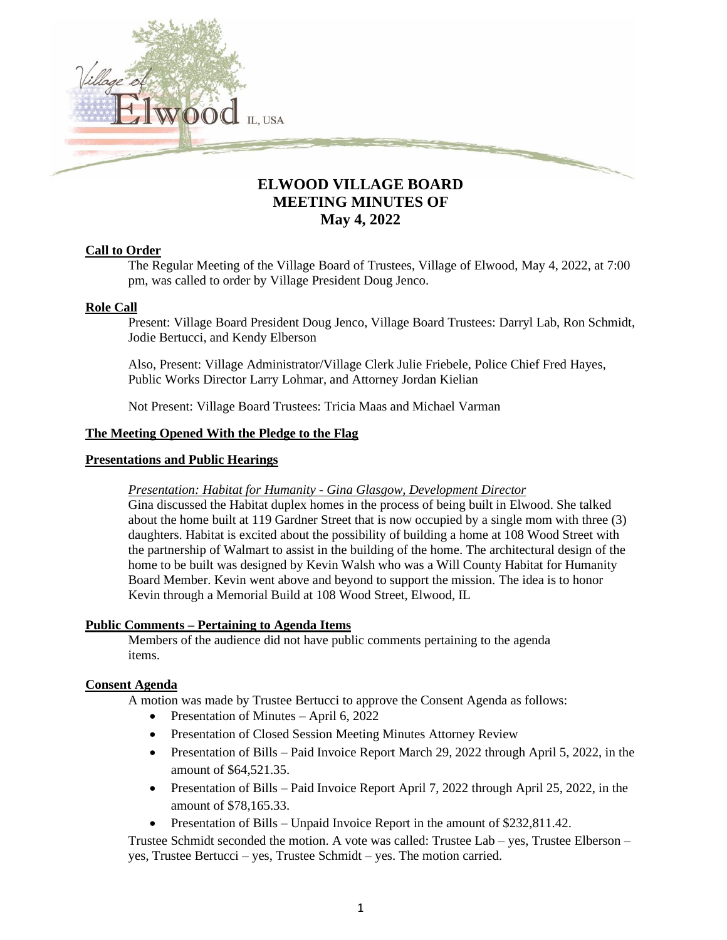

# **ELWOOD VILLAGE BOARD MEETING MINUTES OF May 4, 2022**

### **Call to Order**

The Regular Meeting of the Village Board of Trustees, Village of Elwood, May 4, 2022, at 7:00 pm, was called to order by Village President Doug Jenco.

# **Role Call**

Present: Village Board President Doug Jenco, Village Board Trustees: Darryl Lab, Ron Schmidt, Jodie Bertucci, and Kendy Elberson

Also, Present: Village Administrator/Village Clerk Julie Friebele, Police Chief Fred Hayes, Public Works Director Larry Lohmar, and Attorney Jordan Kielian

Not Present: Village Board Trustees: Tricia Maas and Michael Varman

### **The Meeting Opened With the Pledge to the Flag**

#### **Presentations and Public Hearings**

### *Presentation: Habitat for Humanity - Gina Glasgow, Development Director*

Gina discussed the Habitat duplex homes in the process of being built in Elwood. She talked about the home built at 119 Gardner Street that is now occupied by a single mom with three (3) daughters. Habitat is excited about the possibility of building a home at 108 Wood Street with the partnership of Walmart to assist in the building of the home. The architectural design of the home to be built was designed by Kevin Walsh who was a Will County Habitat for Humanity Board Member. Kevin went above and beyond to support the mission. The idea is to honor Kevin through a Memorial Build at 108 Wood Street, Elwood, IL

### **Public Comments – Pertaining to Agenda Items**

Members of the audience did not have public comments pertaining to the agenda items.

### **Consent Agenda**

A motion was made by Trustee Bertucci to approve the Consent Agenda as follows:

- Presentation of Minutes April 6, 2022
- Presentation of Closed Session Meeting Minutes Attorney Review
- Presentation of Bills Paid Invoice Report March 29, 2022 through April 5, 2022, in the amount of \$64,521.35.
- Presentation of Bills Paid Invoice Report April 7, 2022 through April 25, 2022, in the amount of \$78,165.33.
- Presentation of Bills Unpaid Invoice Report in the amount of \$232,811.42.

Trustee Schmidt seconded the motion. A vote was called: Trustee Lab – yes, Trustee Elberson – yes, Trustee Bertucci – yes, Trustee Schmidt – yes. The motion carried.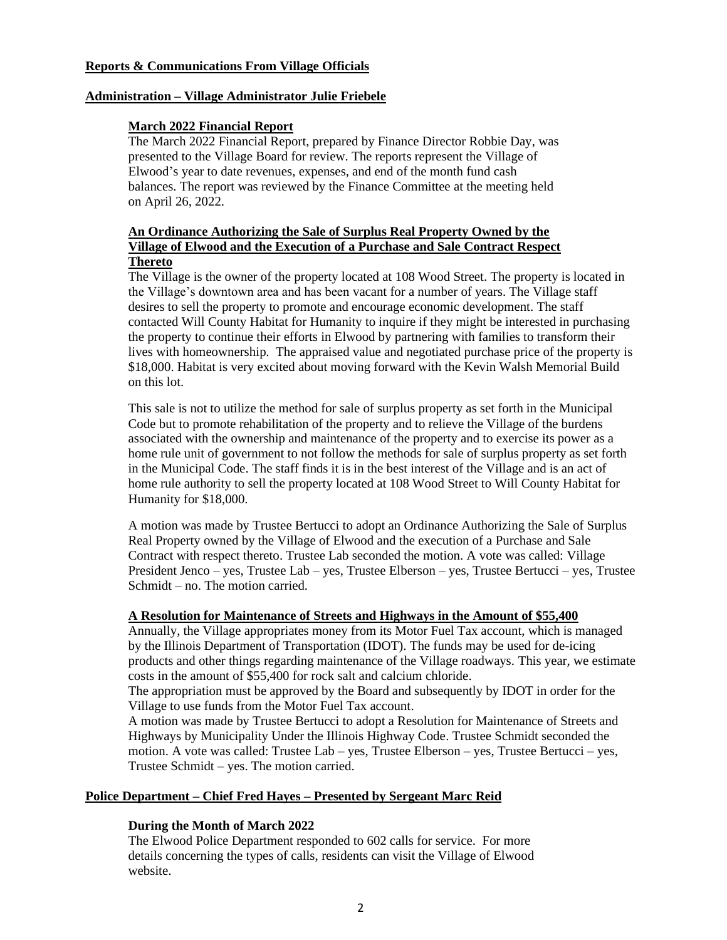#### **Reports & Communications From Village Officials**

#### **Administration – Village Administrator Julie Friebele**

#### **March 2022 Financial Report**

The March 2022 Financial Report, prepared by Finance Director Robbie Day, was presented to the Village Board for review. The reports represent the Village of Elwood's year to date revenues, expenses, and end of the month fund cash balances. The report was reviewed by the Finance Committee at the meeting held on April 26, 2022.

# **An Ordinance Authorizing the Sale of Surplus Real Property Owned by the Village of Elwood and the Execution of a Purchase and Sale Contract Respect Thereto**

The Village is the owner of the property located at 108 Wood Street. The property is located in the Village's downtown area and has been vacant for a number of years. The Village staff desires to sell the property to promote and encourage economic development. The staff contacted Will County Habitat for Humanity to inquire if they might be interested in purchasing the property to continue their efforts in Elwood by partnering with families to transform their lives with homeownership. The appraised value and negotiated purchase price of the property is \$18,000. Habitat is very excited about moving forward with the Kevin Walsh Memorial Build on this lot.

This sale is not to utilize the method for sale of surplus property as set forth in the Municipal Code but to promote rehabilitation of the property and to relieve the Village of the burdens associated with the ownership and maintenance of the property and to exercise its power as a home rule unit of government to not follow the methods for sale of surplus property as set forth in the Municipal Code. The staff finds it is in the best interest of the Village and is an act of home rule authority to sell the property located at 108 Wood Street to Will County Habitat for Humanity for \$18,000.

A motion was made by Trustee Bertucci to adopt an Ordinance Authorizing the Sale of Surplus Real Property owned by the Village of Elwood and the execution of a Purchase and Sale Contract with respect thereto. Trustee Lab seconded the motion. A vote was called: Village President Jenco – yes, Trustee Lab – yes, Trustee Elberson – yes, Trustee Bertucci – yes, Trustee Schmidt – no. The motion carried.

### **A Resolution for Maintenance of Streets and Highways in the Amount of \$55,400**

Annually, the Village appropriates money from its Motor Fuel Tax account, which is managed by the Illinois Department of Transportation (IDOT). The funds may be used for de-icing products and other things regarding maintenance of the Village roadways. This year, we estimate costs in the amount of \$55,400 for rock salt and calcium chloride.

The appropriation must be approved by the Board and subsequently by IDOT in order for the Village to use funds from the Motor Fuel Tax account.

A motion was made by Trustee Bertucci to adopt a Resolution for Maintenance of Streets and Highways by Municipality Under the Illinois Highway Code. Trustee Schmidt seconded the motion. A vote was called: Trustee Lab – yes, Trustee Elberson – yes, Trustee Bertucci – yes, Trustee Schmidt – yes. The motion carried.

### **Police Department – Chief Fred Hayes – Presented by Sergeant Marc Reid**

### **During the Month of March 2022**

The Elwood Police Department responded to 602 calls for service. For more details concerning the types of calls, residents can visit the Village of Elwood website.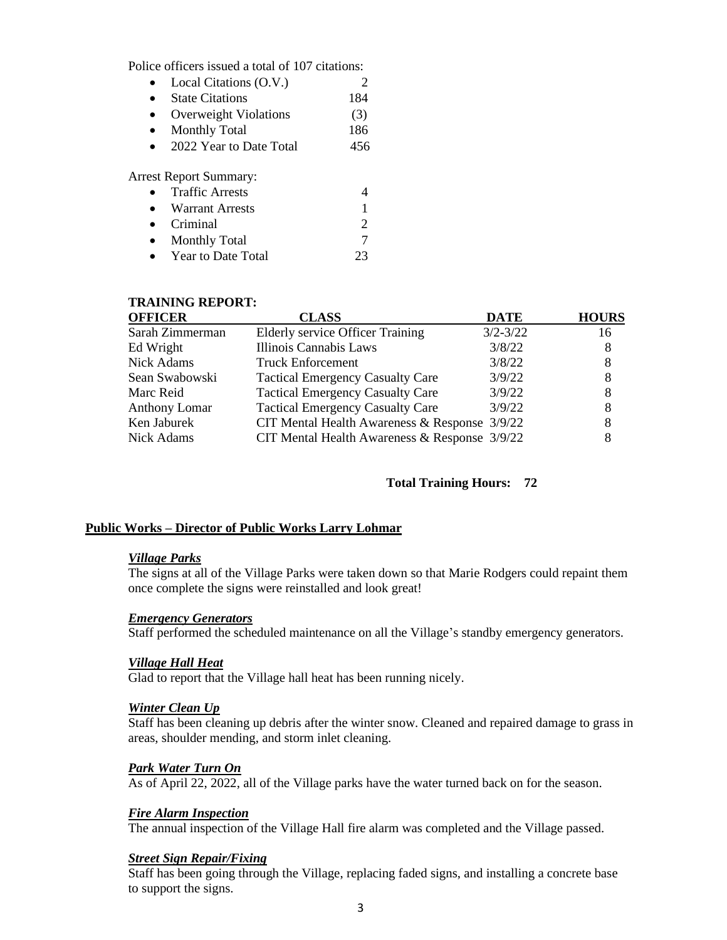Police officers issued a total of 107 citations:

| $\bullet$ | Local Citations (O.V.)  |     |
|-----------|-------------------------|-----|
| $\bullet$ | <b>State Citations</b>  | 184 |
| $\bullet$ | Overweight Violations   | (3) |
| $\bullet$ | <b>Monthly Total</b>    | 186 |
| $\bullet$ | 2022 Year to Date Total | 456 |
|           |                         |     |

Arrest Report Summary:

| $\bullet$ | <b>Traffic Arrests</b> |    |
|-----------|------------------------|----|
|           | • Warrant Arrests      |    |
|           | $\bullet$ Criminal     | ∍  |
| $\bullet$ | <b>Monthly Total</b>   |    |
| $\bullet$ | Year to Date Total     | フス |

#### **TRAINING REPORT:**

| <b>OFFICER</b>       | <b>CLASS</b>                                      | <b>DATE</b>  | <b>HOURS</b> |
|----------------------|---------------------------------------------------|--------------|--------------|
| Sarah Zimmerman      | <b>Elderly service Officer Training</b>           | $3/2 - 3/22$ | 16           |
| Ed Wright            | Illinois Cannabis Laws                            | 3/8/22       | 8            |
| Nick Adams           | <b>Truck Enforcement</b>                          | 3/8/22       | 8            |
| Sean Swabowski       | <b>Tactical Emergency Casualty Care</b>           | 3/9/22       | 8            |
| Marc Reid            | <b>Tactical Emergency Casualty Care</b>           | 3/9/22       | 8            |
| <b>Anthony Lomar</b> | <b>Tactical Emergency Casualty Care</b>           | 3/9/22       | 8            |
| Ken Jaburek          | CIT Mental Health Awareness $&$ Response $3/9/22$ |              | 8            |
| Nick Adams           | CIT Mental Health Awareness $&$ Response $3/9/22$ |              | 8            |

### **Total Training Hours: 72**

#### **Public Works – Director of Public Works Larry Lohmar**

#### *Village Parks*

The signs at all of the Village Parks were taken down so that Marie Rodgers could repaint them once complete the signs were reinstalled and look great!

### *Emergency Generators*

Staff performed the scheduled maintenance on all the Village's standby emergency generators.

### *Village Hall Heat*

Glad to report that the Village hall heat has been running nicely.

#### *Winter Clean Up*

Staff has been cleaning up debris after the winter snow. Cleaned and repaired damage to grass in areas, shoulder mending, and storm inlet cleaning.

#### *Park Water Turn On*

As of April 22, 2022, all of the Village parks have the water turned back on for the season.

### *Fire Alarm Inspection*

The annual inspection of the Village Hall fire alarm was completed and the Village passed.

### *Street Sign Repair/Fixing*

Staff has been going through the Village, replacing faded signs, and installing a concrete base to support the signs.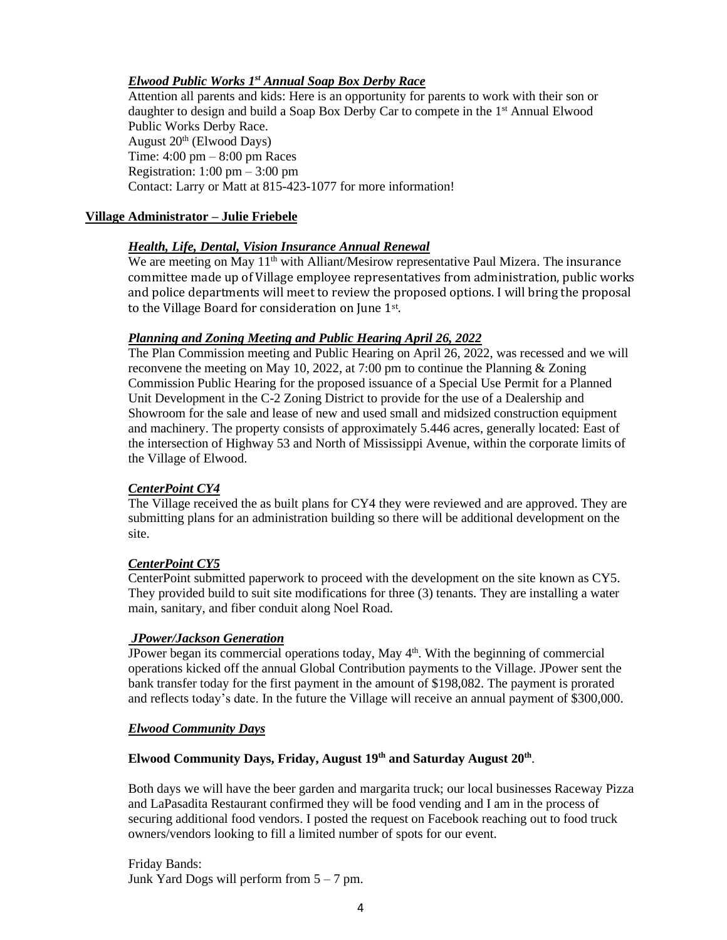# *Elwood Public Works 1 st Annual Soap Box Derby Race*

Attention all parents and kids: Here is an opportunity for parents to work with their son or daughter to design and build a Soap Box Derby Car to compete in the 1<sup>st</sup> Annual Elwood Public Works Derby Race. August  $20<sup>th</sup>$  (Elwood Days) Time: 4:00 pm – 8:00 pm Races Registration:  $1:00 \text{ pm} - 3:00 \text{ pm}$ Contact: Larry or Matt at 815-423-1077 for more information!

### **Village Administrator – Julie Friebele**

### *Health, Life, Dental, Vision Insurance Annual Renewal*

We are meeting on May 11<sup>th</sup> with Alliant/Mesirow representative Paul Mizera. The insurance committee made up of Village employee representatives from administration, public works and police departments will meet to review the proposed options. I will bring the proposal to the Village Board for consideration on June 1st.

# *Planning and Zoning Meeting and Public Hearing April 26, 2022*

The Plan Commission meeting and Public Hearing on April 26, 2022, was recessed and we will reconvene the meeting on May 10, 2022, at 7:00 pm to continue the Planning & Zoning Commission Public Hearing for the proposed issuance of a Special Use Permit for a Planned Unit Development in the C-2 Zoning District to provide for the use of a Dealership and Showroom for the sale and lease of new and used small and midsized construction equipment and machinery. The property consists of approximately 5.446 acres, generally located: East of the intersection of Highway 53 and North of Mississippi Avenue, within the corporate limits of the Village of Elwood.

### *CenterPoint CY4*

The Village received the as built plans for CY4 they were reviewed and are approved. They are submitting plans for an administration building so there will be additional development on the site.

### *CenterPoint CY5*

CenterPoint submitted paperwork to proceed with the development on the site known as CY5. They provided build to suit site modifications for three (3) tenants. They are installing a water main, sanitary, and fiber conduit along Noel Road.

### *JPower/Jackson Generation*

JPower began its commercial operations today, May  $4<sup>th</sup>$ . With the beginning of commercial operations kicked off the annual Global Contribution payments to the Village. JPower sent the bank transfer today for the first payment in the amount of \$198,082. The payment is prorated and reflects today's date. In the future the Village will receive an annual payment of \$300,000.

### *Elwood Community Days*

### **Elwood Community Days, Friday, August 19th and Saturday August 20th** .

Both days we will have the beer garden and margarita truck; our local businesses Raceway Pizza and LaPasadita Restaurant confirmed they will be food vending and I am in the process of securing additional food vendors. I posted the request on Facebook reaching out to food truck owners/vendors looking to fill a limited number of spots for our event.

Friday Bands: Junk Yard Dogs will perform from  $5 - 7$  pm.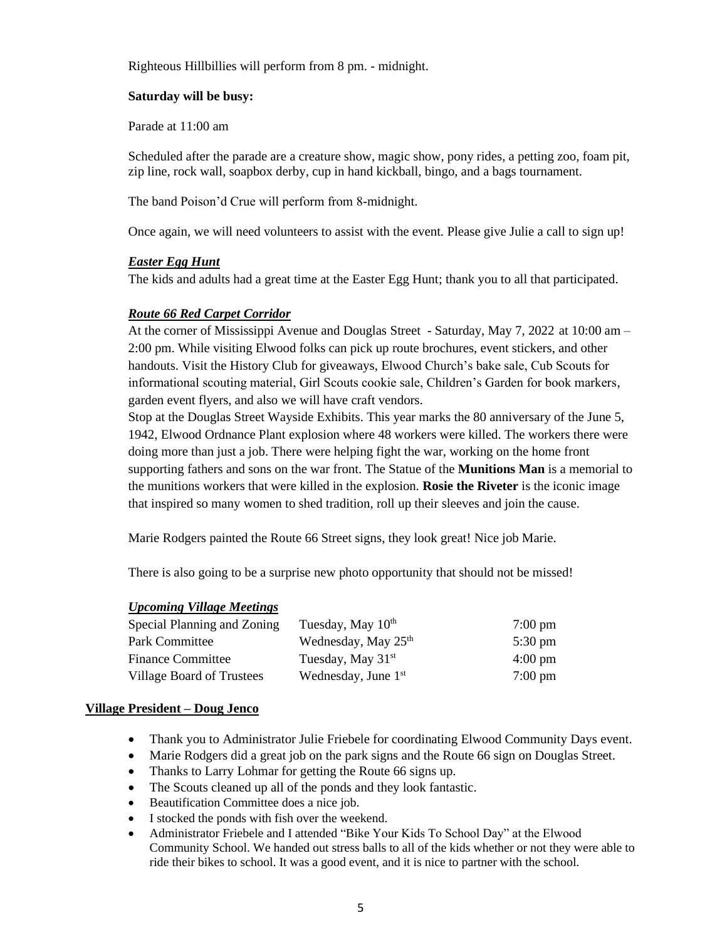Righteous Hillbillies will perform from 8 pm. - midnight.

#### **Saturday will be busy:**

Parade at 11:00 am

Scheduled after the parade are a creature show, magic show, pony rides, a petting zoo, foam pit, zip line, rock wall, soapbox derby, cup in hand kickball, bingo, and a bags tournament.

The band Poison'd Crue will perform from 8-midnight.

Once again, we will need volunteers to assist with the event. Please give Julie a call to sign up!

# *Easter Egg Hunt*

The kids and adults had a great time at the Easter Egg Hunt; thank you to all that participated.

# *Route 66 Red Carpet Corridor*

At the corner of Mississippi Avenue and Douglas Street - Saturday, May 7, 2022 at 10:00 am – 2:00 pm. While visiting Elwood folks can pick up route brochures, event stickers, and other handouts. Visit the History Club for giveaways, Elwood Church's bake sale, Cub Scouts for informational scouting material, Girl Scouts cookie sale, Children's Garden for book markers, garden event flyers, and also we will have craft vendors.

Stop at the Douglas Street Wayside Exhibits. This year marks the 80 anniversary of the June 5, 1942, Elwood Ordnance Plant explosion where 48 workers were killed. The workers there were doing more than just a job. There were helping fight the war, working on the home front supporting fathers and sons on the war front. The Statue of the **Munitions Man** is a memorial to the munitions workers that were killed in the explosion. **Rosie the Riveter** is the iconic image that inspired so many women to shed tradition, roll up their sleeves and join the cause.

Marie Rodgers painted the Route 66 Street signs, they look great! Nice job Marie.

There is also going to be a surprise new photo opportunity that should not be missed!

### *Upcoming Village Meetings*

| Special Planning and Zoning | Tuesday, May 10 <sup>th</sup>   | $7:00 \text{ pm}$ |
|-----------------------------|---------------------------------|-------------------|
| Park Committee              | Wednesday, May 25 <sup>th</sup> | $5:30 \text{ pm}$ |
| <b>Finance Committee</b>    | Tuesday, May $31st$             | $4:00 \text{ pm}$ |
| Village Board of Trustees   | Wednesday, June $1st$           | $7:00 \text{ pm}$ |

### **Village President – Doug Jenco**

- Thank you to Administrator Julie Friebele for coordinating Elwood Community Days event.
- Marie Rodgers did a great job on the park signs and the Route 66 sign on Douglas Street.
- Thanks to Larry Lohmar for getting the Route 66 signs up.
- The Scouts cleaned up all of the ponds and they look fantastic.
- Beautification Committee does a nice job.
- I stocked the ponds with fish over the weekend.
- Administrator Friebele and I attended "Bike Your Kids To School Day" at the Elwood Community School. We handed out stress balls to all of the kids whether or not they were able to ride their bikes to school. It was a good event, and it is nice to partner with the school.